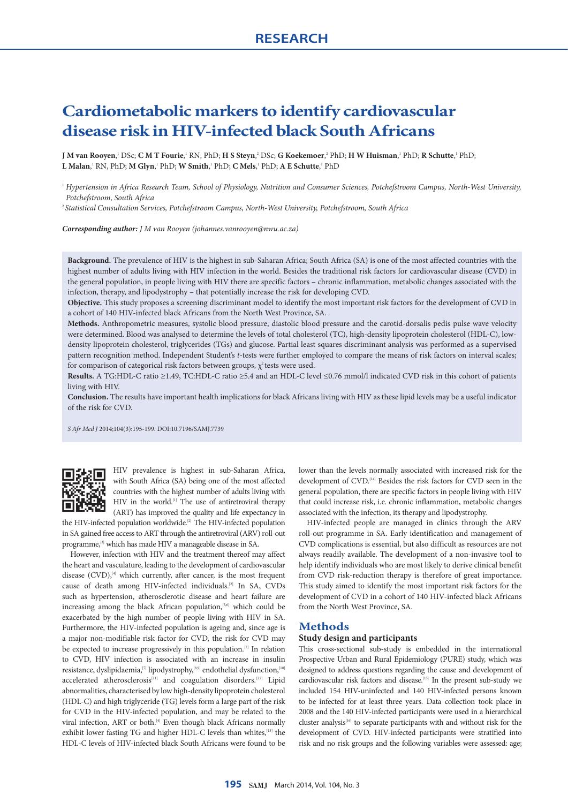# **Cardiometabolic markers to identify cardiovascular disease risk in HIV-infected black South Africans**

**J** M van Rooyen,' DSc; C M T Fourie,' RN, PhD; H S Steyn,<sup>2</sup> DSc; G Koekemoer,<sup>2</sup> PhD; H W Huisman,' PhD; R Schutte,' PhD; **L Malan**,' RN, PhD; **M Glyn**,' PhD; **W Smith**,' PhD; **C Mels**,' PhD; **A E Schutte**,' PhD

<sup>1</sup> *Hypertension in Africa Research Team, School of Physiology, Nutrition and Consumer Sciences, Potchefstroom Campus, North-West University, Potchefstroom, South Africa*

2 *Statistical Consultation Services, Potchefstroom Campus, North-West University, Potchefstroom, South Africa*

*Corresponding author: J M van Rooyen [\(johannes.vanrooyen@nwu.ac.za\)](mailto:johannes.vanrooyen@nwu.ac.za)*

**Background.** The prevalence of HIV is the highest in sub-Saharan Africa; South Africa (SA) is one of the most affected countries with the highest number of adults living with HIV infection in the world. Besides the traditional risk factors for cardiovascular disease (CVD) in the general population, in people living with HIV there are specific factors – chronic inflammation, metabolic changes associated with the infection, therapy, and lipodystrophy – that potentially increase the risk for developing CVD.

**Objective.** This study proposes a screening discriminant model to identify the most important risk factors for the development of CVD in a cohort of 140 HIV-infected black Africans from the North West Province, SA.

**Methods.** Anthropometric measures, systolic blood pressure, diastolic blood pressure and the carotid-dorsalis pedis pulse wave velocity were determined. Blood was analysed to determine the levels of total cholesterol (TC), high-density lipoprotein cholesterol (HDL-C), lowdensity lipoprotein cholesterol, triglycerides (TGs) and glucose. Partial least squares discriminant analysis was performed as a supervised pattern recognition method. Independent Student's *t*-tests were further employed to compare the means of risk factors on interval scales; for comparison of categorical risk factors between groups,  $\chi^2$  tests were used.

**Results.** A TG:HDL-C ratio ≥1.49, TC:HDL-C ratio ≥5.4 and an HDL-C level ≤0.76 mmol/l indicated CVD risk in this cohort of patients living with HIV.

**Conclusion.** The results have important health implications for black Africans living with HIV as these lipid levels may be a useful indicator of the risk for CVD.

*S Afr Med J* 2014;104(3):195-199. DOI:10.7196/SAMJ.7739



HIV prevalence is highest in sub-Saharan Africa, with South Africa (SA) being one of the most affected countries with the highest number of adults living with HIV in the world.[1] The use of antiretroviral therapy (ART) has improved the quality and life expectancy in

the HIV-infected population worldwide.<sup>[2]</sup> The HIV-infected population in SA gained free access to ART through the antiretroviral (ARV) roll-out programme,<sup>[3]</sup> which has made HIV a manageable disease in SA.

However, infection with HIV and the treatment thereof may affect the heart and vasculature, leading to the development of cardiovascular disease  $(CVD)$ ,<sup>[4]</sup> which currently, after cancer, is the most frequent cause of death among HIV-infected individuals.[2] In SA, CVDs such as hypertension, atherosclerotic disease and heart failure are increasing among the black African population,<sup>[5,6]</sup> which could be exacerbated by the high number of people living with HIV in SA. Furthermore, the HIV-infected population is ageing and, since age is a major non-modifiable risk factor for CVD, the risk for CVD may be expected to increase progressively in this population.<sup>[2]</sup> In relation to CVD, HIV infection is associated with an increase in insulin resistance, dyslipidaemia,<sup>[7]</sup> lipodystrophy,<sup>[8,9]</sup> endothelial dysfunction,<sup>[10]</sup> accelerated atherosclerosis<sup>[11]</sup> and coagulation disorders.<sup>[12]</sup> Lipid abnormalities, characterised by low high-density lipoprotein cholesterol (HDL-C) and high triglyceride (TG) levels form a large part of the risk for CVD in the HIV-infected population, and may be related to the viral infection, ART or both.<sup>[4]</sup> Even though black Africans normally exhibit lower fasting TG and higher HDL-C levels than whites,<sup>[13]</sup> the HDL-C levels of HIV-infected black South Africans were found to be

lower than the levels normally associated with increased risk for the development of CVD.[14] Besides the risk factors for CVD seen in the general population, there are specific factors in people living with HIV that could increase risk, i.e. chronic inflammation, metabolic changes associated with the infection, its therapy and lipodystrophy.

HIV-infected people are managed in clinics through the ARV roll-out programme in SA. Early identification and management of CVD complications is essential, but also difficult as resources are not always readily available. The development of a non-invasive tool to help identify individuals who are most likely to derive clinical benefit from CVD risk-reduction therapy is therefore of great importance. This study aimed to identify the most important risk factors for the development of CVD in a cohort of 140 HIV-infected black Africans from the North West Province, SA.

# **Methods**

### **Study design and participants**

This cross-sectional sub-study is embedded in the international Prospective Urban and Rural Epidemiology (PURE) study, which was designed to address questions regarding the cause and development of cardiovascular risk factors and disease.[15] In the present sub-study we included 154 HIV-uninfected and 140 HIV-infected persons known to be infected for at least three years. Data collection took place in 2008 and the 140 HIV-infected participants were used in a hierarchical cluster analysis<sup>[16]</sup> to separate participants with and without risk for the development of CVD. HIV-infected participants were stratified into risk and no risk groups and the following variables were assessed: age;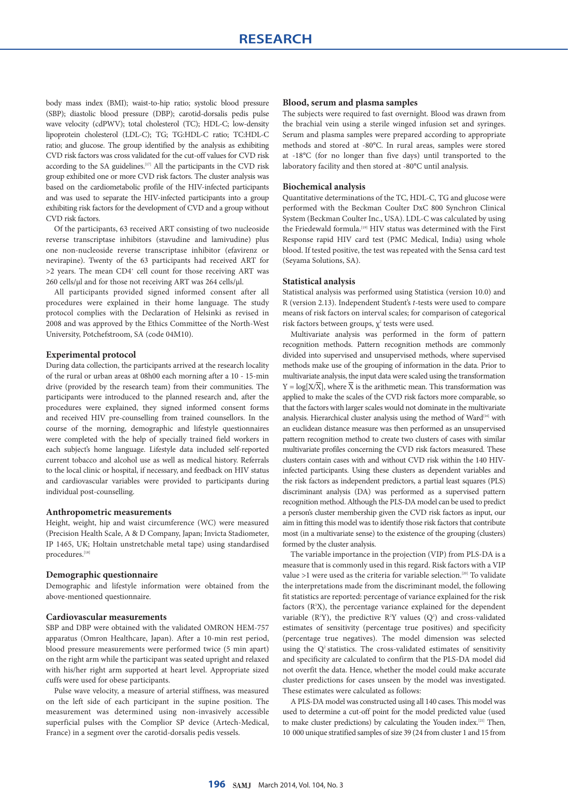body mass index (BMI); waist-to-hip ratio; systolic blood pressure (SBP); diastolic blood pressure (DBP); carotid-dorsalis pedis pulse wave velocity (cdPWV); total cholesterol (TC); HDL-C; low-density lipoprotein cholesterol (LDL-C); TG; TG:HDL-C ratio; TC:HDL-C ratio; and glucose. The group identified by the analysis as exhibiting CVD risk factors was cross validated for the cut-off values for CVD risk according to the SA guidelines.[17] All the participants in the CVD risk group exhibited one or more CVD risk factors. The cluster analysis was based on the cardiometabolic profile of the HIV-infected participants and was used to separate the HIV-infected participants into a group exhibiting risk factors for the development of CVD and a group without CVD risk factors.

Of the participants, 63 received ART consisting of two nucleoside reverse transcriptase inhibitors (stavudine and lamivudine) plus one non-nucleoside reverse transcriptase inhibitor (efavirenz or nevirapine). Twenty of the 63 participants had received ART for >2 years. The mean CD4<sup>+</sup> cell count for those receiving ART was 260 cells/μl and for those not receiving ART was 264 cells/μl.

All participants provided signed informed consent after all procedures were explained in their home language. The study protocol complies with the Declaration of Helsinki as revised in 2008 and was approved by the Ethics Committee of the North-West University, Potchefstroom, SA (code 04M10).

#### **Experimental protocol**

During data collection, the participants arrived at the research locality of the rural or urban areas at 08h00 each morning after a 10 - 15-min drive (provided by the research team) from their communities. The participants were introduced to the planned research and, after the procedures were explained, they signed informed consent forms and received HIV pre-counselling from trained counsellors. In the course of the morning, demographic and lifestyle questionnaires were completed with the help of specially trained field workers in each subject's home language. Lifestyle data included self-reported current tobacco and alcohol use as well as medical history. Referrals to the local clinic or hospital, if necessary, and feedback on HIV status and cardiovascular variables were provided to participants during individual post-counselling.

#### **Anthropometric measurements**

Height, weight, hip and waist circumference (WC) were measured (Precision Health Scale, A & D Company, Japan; Invicta Stadiometer, IP 1465, UK; Holtain unstretchable metal tape) using standardised procedures.[18]

#### **Demographic questionnaire**

Demographic and lifestyle information were obtained from the above-mentioned questionnaire.

### **Cardiovascular measurements**

SBP and DBP were obtained with the validated OMRON HEM-757 apparatus (Omron Healthcare, Japan). After a 10-min rest period, blood pressure measurements were performed twice (5 min apart) on the right arm while the participant was seated upright and relaxed with his/her right arm supported at heart level. Appropriate sized cuffs were used for obese participants.

Pulse wave velocity, a measure of arterial stiffness, was measured on the left side of each participant in the supine position. The measurement was determined using non-invasively accessible superficial pulses with the Complior SP device (Artech-Medical, France) in a segment over the carotid-dorsalis pedis vessels.

#### **Blood, serum and plasma samples**

The subjects were required to fast overnight. Blood was drawn from the brachial vein using a sterile winged infusion set and syringes. Serum and plasma samples were prepared according to appropriate methods and stored at -80°C. In rural areas, samples were stored at -18°C (for no longer than five days) until transported to the laboratory facility and then stored at -80°C until analysis.

#### **Biochemical analysis**

Quantitative determinations of the TC, HDL-C, TG and glucose were performed with the Beckman Coulter DxC 800 Synchron Clinical System (Beckman Coulter Inc., USA). LDL-C was calculated by using the Friedewald formula.[19] HIV status was determined with the First Response rapid HIV card test (PMC Medical, India) using whole blood. If tested positive, the test was repeated with the Sensa card test (Seyama Solutions, SA).

#### **Statistical analysis**

Statistical analysis was performed using Statistica (version 10.0) and R (version 2.13). Independent Student's *t*-tests were used to compare means of risk factors on interval scales; for comparison of categorical risk factors between groups,  $\chi^2$  tests were used.

Multivariate analysis was performed in the form of pattern recognition methods. Pattern recognition methods are commonly divided into supervised and unsupervised methods, where supervised methods make use of the grouping of information in the data. Prior to multivariate analysis, the input data were scaled using the transformation  $Y = log[X/\overline{X}]$ , where  $\overline{X}$  is the arithmetic mean. This transformation was applied to make the scales of the CVD risk factors more comparable, so that the factors with larger scales would not dominate in the multivariate analysis. Hierarchical cluster analysis using the method of Ward<sup>[16]</sup> with an euclidean distance measure was then performed as an unsupervised pattern recognition method to create two clusters of cases with similar multivariate profiles concerning the CVD risk factors measured. These clusters contain cases with and without CVD risk within the 140 HIVinfected participants. Using these clusters as dependent variables and the risk factors as independent predictors, a partial least squares (PLS) discriminant analysis (DA) was performed as a supervised pattern recognition method. Although the PLS-DA model can be used to predict a person's cluster membership given the CVD risk factors as input, our aim in fitting this model was to identify those risk factors that contribute most (in a multivariate sense) to the existence of the grouping (clusters) formed by the cluster analysis.

The variable importance in the projection (VIP) from PLS-DA is a measure that is commonly used in this regard. Risk factors with a VIP value >1 were used as the criteria for variable selection.<sup>[20]</sup> To validate the interpretations made from the discriminant model, the following fit statistics are reported: percentage of variance explained for the risk factors  $(R<sup>2</sup>X)$ , the percentage variance explained for the dependent variable ( $R^2Y$ ), the predictive  $R^2Y$  values ( $Q^2$ ) and cross-validated estimates of sensitivity (percentage true positives) and specificity (percentage true negatives). The model dimension was selected using the  $Q<sup>2</sup>$  statistics. The cross-validated estimates of sensitivity and specificity are calculated to confirm that the PLS-DA model did not overfit the data. Hence, whether the model could make accurate cluster predictions for cases unseen by the model was investigated. These estimates were calculated as follows:

A PLS-DA model was constructed using all 140 cases. This model was used to determine a cut-off point for the model predicted value (used to make cluster predictions) by calculating the Youden index.[21] Then, 10 000 unique stratified samples of size 39 (24 from cluster 1 and 15 from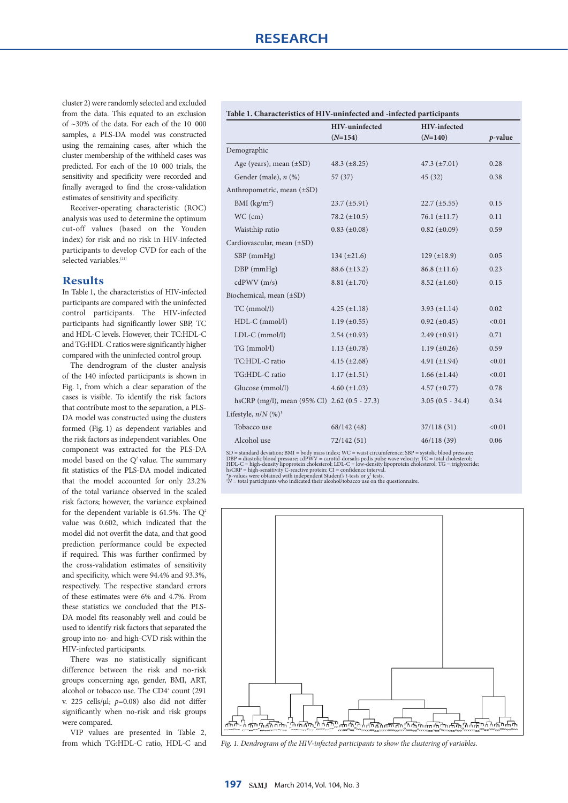cluster 2) were randomly selected and excluded from the data. This equated to an exclusion of ~30% of the data. For each of the 10 000 samples, a PLS-DA model was constructed using the remaining cases, after which the cluster membership of the withheld cases was predicted. For each of the 10 000 trials, the sensitivity and specificity were recorded and finally averaged to find the cross-validation estimates of sensitivity and specificity.

Receiver-operating characteristic (ROC) analysis was used to determine the optimum cut-off values (based on the Youden index) for risk and no risk in HIV-infected participants to develop CVD for each of the selected variables.<sup>[21]</sup>

# **Results**

In Table 1, the characteristics of HIV-infected participants are compared with the uninfected control participants. The HIV-infected participants had significantly lower SBP, TC and HDL-C levels. However, their TC:HDL-C and TG:HDL-C ratios were significantly higher compared with the uninfected control group.

The dendrogram of the cluster analysis of the 140 infected participants is shown in Fig. 1, from which a clear separation of the cases is visible. To identify the risk factors that contribute most to the separation, a PLS-DA model was constructed using the clusters formed (Fig. 1) as dependent variables and the risk factors as independent variables. One component was extracted for the PLS-DA model based on the  $Q^2$  value. The summary fit statistics of the PLS-DA model indicated that the model accounted for only 23.2% of the total variance observed in the scaled risk factors; however, the variance explained for the dependent variable is 61.5%. The  $Q^2$ value was 0.602, which indicated that the model did not overfit the data, and that good prediction performance could be expected if required. This was further confirmed by the cross-validation estimates of sensitivity and specificity, which were 94.4% and 93.3%, respectively. The respective standard errors of these estimates were 6% and 4.7%. From these statistics we concluded that the PLS-DA model fits reasonably well and could be used to identify risk factors that separated the group into no- and high-CVD risk within the HIV-infected participants.

There was no statistically significant difference between the risk and no-risk groups concerning age, gender, BMI, ART, alcohol or tobacco use. The CD4<sup>+</sup> count (291 v. 225 cells/μl; *p*=0.08) also did not differ significantly when no-risk and risk groups were compared.

VIP values are presented in Table 2, from which TG:HDL-C ratio, HDL-C and

| Table 1. Characteristics of HIV-uninfected and -infected participants |                                    |                                  |            |  |  |  |
|-----------------------------------------------------------------------|------------------------------------|----------------------------------|------------|--|--|--|
|                                                                       | <b>HIV-uninfected</b><br>$(N=154)$ | <b>HIV-infected</b><br>$(N=140)$ | $p$ -value |  |  |  |
|                                                                       |                                    |                                  |            |  |  |  |
| Demographic                                                           |                                    |                                  |            |  |  |  |
| Age (years), mean $(\pm SD)$                                          | 48.3 $(\pm 8.25)$                  | 47.3 $(\pm 7.01)$                | 0.28       |  |  |  |
| Gender (male), $n$ (%)                                                | 57(37)                             | 45(32)                           | 0.38       |  |  |  |
| Anthropometric, mean $(\pm SD)$                                       |                                    |                                  |            |  |  |  |
| BMI $(k\sigma/m^2)$                                                   | $23.7 (+5.91)$                     | $22.7 (+5.55)$                   | 0.15       |  |  |  |

|                            | $T_{1}$ gc (years), filean (±5D) +0.9 (±0.29) |                     | $T/10.1 + 1.01$     | 0.40   |  |
|----------------------------|-----------------------------------------------|---------------------|---------------------|--------|--|
|                            | Gender (male), $n$ $(\%)$                     | 57(37)              | 45(32)              | 0.38   |  |
|                            | Anthropometric, mean (±SD)                    |                     |                     |        |  |
|                            | BMI $(kg/m2)$                                 | $23.7 (\pm 5.91)$   | $22.7 (\pm 5.55)$   | 0.15   |  |
|                            | $WC$ (cm)                                     | 78.2 $(\pm 10.5)$   | $76.1 (\pm 11.7)$   | 0.11   |  |
|                            | Waist:hip ratio                               | $0.83 \ (\pm 0.08)$ | $0.82 \ (\pm 0.09)$ | 0.59   |  |
| Cardiovascular, mean (±SD) |                                               |                     |                     |        |  |
|                            | $SBP$ (mm $Hg$ )                              | $134 (\pm 21.6)$    | $129 \ (\pm 18.9)$  | 0.05   |  |
|                            | $DBP$ (mmHg)                                  | $88.6 (\pm 13.2)$   | $86.8 \ (\pm 11.6)$ | 0.23   |  |
|                            | cdPWV(m/s)                                    | $8.81 (\pm 1.70)$   | $8.52 \ (\pm 1.60)$ | 0.15   |  |
|                            | Biochemical, mean (±SD)                       |                     |                     |        |  |
|                            | TC (mmol/l)                                   | $4.25 (\pm 1.18)$   | $3.93 \ (\pm 1.14)$ | 0.02   |  |
|                            | HDL-C (mmol/l)                                | $1.19 \ (\pm 0.55)$ | $0.92 \ (\pm 0.45)$ | < 0.01 |  |
|                            | LDL-C (mmol/l)                                | $2.54 \ (\pm 0.93)$ | $2.49 \ (\pm 0.91)$ | 0.71   |  |
|                            | TG (mmol/l)                                   | $1.13 \ (\pm 0.78)$ | $1.19 \ (\pm 0.26)$ | 0.59   |  |
|                            | TC:HDL-C ratio                                | $4.15 \ (\pm 2.68)$ | 4.91 $(\pm 1.94)$   | < 0.01 |  |
|                            | TG:HDL-C ratio                                | $1.17 (\pm 1.51)$   | $1.66 (\pm 1.44)$   | < 0.01 |  |
|                            | Glucose (mmol/l)                              | $4.60 (\pm 1.03)$   | $4.57 (\pm 0.77)$   | 0.78   |  |
|                            | hsCRP (mg/l), mean (95% CI) 2.62 (0.5 - 27.3) |                     | $3.05(0.5 - 34.4)$  | 0.34   |  |
|                            | Lifestyle, $n/N$ (%) <sup>†</sup>             |                     |                     |        |  |
|                            | Tobacco use                                   | 68/142 (48)         | 37/118(31)          | < 0.01 |  |
|                            | Alcohol use                                   | 72/142 (51)         | 46/118(39)          | 0.06   |  |

SD = standard deviation; BMI = body mass index; WC = waist circumference; SBP = systolic blood pressure;<br>DBP = diastolic blood pressure; cdPWV = carotid-dorsalis pedis pulse wave velocity; TC = total cholesterol;<br>HDL-C =



*Fig. 1. Dendrogram of the HIV-infected participants to show the clustering of variables.*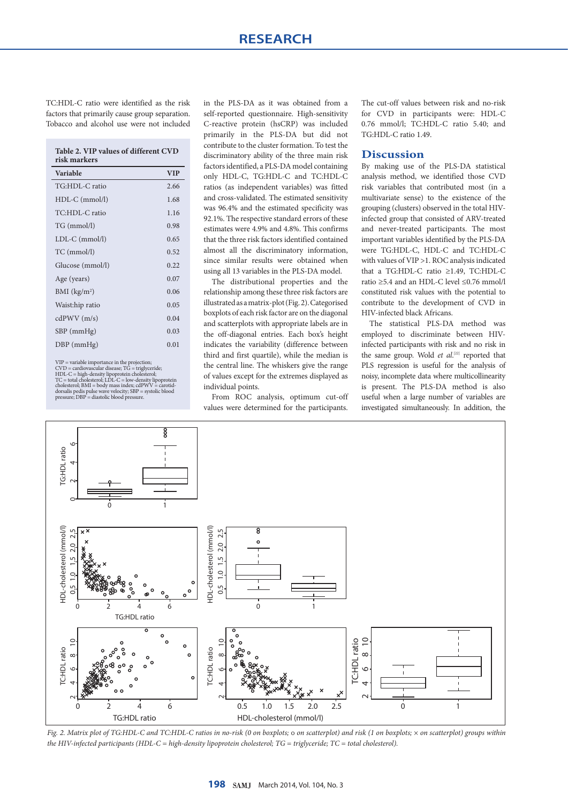TC:HDL-C ratio were identified as the risk factors that primarily cause group separation. Tobacco and alcohol use were not included

**Table 2. VIP values of different CVD risk markers**

| Variable                 | <b>VIP</b> |
|--------------------------|------------|
| TG:HDL-C ratio           | 2.66       |
| $HDL-C$ (mmol/l)         | 1.68       |
| TC:HDL-C ratio           | 1.16       |
| TG (mmol/l)              | 0.98       |
| $LDL-C$ ( $mmol/l$ )     | 0.65       |
| TC (mmol/l)              | 0.52       |
| Glucose (mmol/l)         | 0.22       |
| Age (years)              | 0.07       |
| BMI (kg/m <sup>2</sup> ) | 0.06       |
| Waist:hip ratio          | 0.05       |
| cdPWV(m/s)               | 0.04       |
| $SBP$ (mmHg)             | 0.03       |
| $DBP$ (mmHg)             | 0.01       |
|                          |            |

VIP = variable importance in the projection;<br>CVID = cardiovascular disease; TG = triglyceride;<br>HDL-C = high-density lipoprotein cholesterol;<br>HDL-C = high-density lipoprotein cholesterol;<br>donsalis pedial cholesterol; LDL-C

in the PLS-DA as it was obtained from a self-reported questionnaire. High-sensitivity C-reactive protein (hsCRP) was included primarily in the PLS-DA but did not contribute to the cluster formation. To test the discriminatory ability of the three main risk factors identified, a PLS-DA model containing only HDL-C, TG:HDL-C and TC:HDL-C ratios (as independent variables) was fitted and cross-validated. The estimated sensitivity was 96.4% and the estimated specificity was 92.1%. The respective standard errors of these estimates were 4.9% and 4.8%. This confirms that the three risk factors identified contained almost all the discriminatory information, since similar results were obtained when using all 13 variables in the PLS-DA model.

The distributional properties and the relationship among these three risk factors are illustrated as a matrix-plot (Fig. 2). Categorised boxplots of each risk factor are on the diagonal and scatterplots with appropriate labels are in the off-diagonal entries. Each box's height indicates the variability (difference between third and first quartile), while the median is the central line. The whiskers give the range of values except for the extremes displayed as individual points.

From ROC analysis, optimum cut-off values were determined for the participants.

The cut-off values between risk and no-risk for CVD in participants were: HDL-C 0.76 mmol/l; TC:HDL-C ratio 5.40; and TG:HDL-C ratio 1.49.

# **Discussion**

By making use of the PLS-DA statistical analysis method, we identified those CVD risk variables that contributed most (in a multivariate sense) to the existence of the grouping (clusters) observed in the total HIVinfected group that consisted of ARV-treated and never-treated participants. The most important variables identified by the PLS-DA were TG:HDL-C, HDL-C and TC:HDL-C with values of VIP >1. ROC analysis indicated that a TG:HDL-C ratio ≥1.49, TC:HDL-C ratio ≥5.4 and an HDL-C level ≤0.76 mmol/l constituted risk values with the potential to contribute to the development of CVD in HIV-infected black Africans.

The statistical PLS-DA method was employed to discriminate between HIVinfected participants with risk and no risk in the same group. Wold *et al.*<sup>[22]</sup> reported that PLS regression is useful for the analysis of noisy, incomplete data where multicollinearity is present. The PLS-DA method is also useful when a large number of variables are investigated simultaneously. In addition, the



*Fig. 2. Matrix plot of TG:HDL-C and TC:HDL-C ratios in no-risk (0 on boxplots; on scatterplot) and risk (1 on boxplots;* × *on scatterplot) groups within the HIV-infected participants (HDL-C = high-density lipoprotein cholesterol; TG = triglyceride; TC = total cholesterol).*